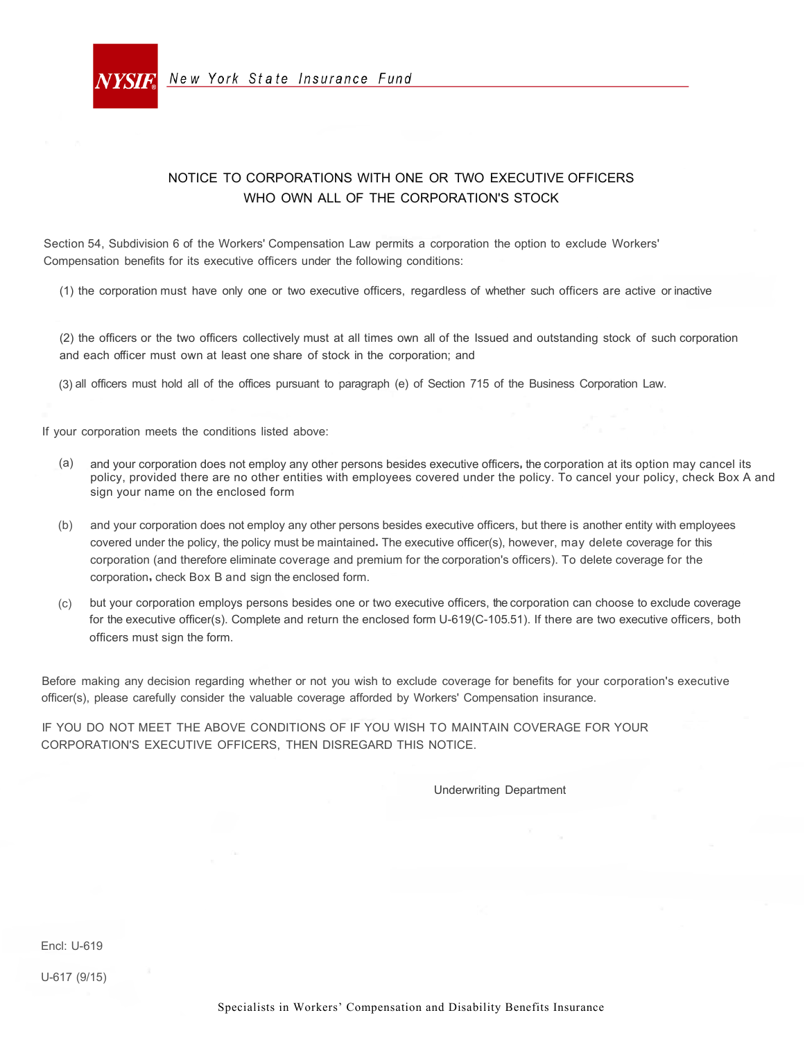

### NOTICE TO CORPORATIONS WITH ONE OR TWO EXECUTIVE OFFICERS WHO OWN ALL OF THE CORPORATION'S STOCK

•

Section 54, Subdivision 6 of the Workers' Compensation Law permits a corporation the option to exclude Workers' Compensation benefits for its executive officers under the following conditions:

(1) the corporation must have only one or two executive officers, regardless of whether such officers are active or inactive

(2) the officers or the two officers collectively must at all times own all of the Issued and outstanding stock of such corporation and each officer must own at least one share of stock in the corporation; and

(3) all officers must hold all of the offices pursuant to paragraph (e) of Section 715 of the Business Corporation Law.

If your corporation meets the conditions listed above:

- (a) and your corporation does not employ any other persons besides executive officers, the corporation at its option may cancel its policy, provided there are no other entities with employees covered under the policy. To cancel your policy, check Box A and sign your name on the enclosed form
- (b) and your corporation does not employ any other persons besides executive officers, but there is another entity with employees covered under the policy, the policy must be maintained. The executive officer(s), however, may delete coverage for this corporation (and therefore eliminate coverage and premium for the corporation's officers). To delete coverage for the corporation. check Box B and sign the enclosed form.
- (c) but your corporation employs persons besides one or two executive officers, the corporation can choose to exclude coverage for the executive officer(s). Complete and return the enclosed form U-619(C-105.51). If there are two executive officers, both officers must sign the form.

Before making any decision regarding whether or not you wish to exclude coverage for benefits for your corporation's executive officer(s), please carefully consider the valuable coverage afforded by Workers' Compensation insurance.

IF YOU DO NOT MEET THE ABOVE CONDITIONS OF IF YOU WISH TO MAINTAIN COVERAGE FOR YOUR CORPORATION'S EXECUTIVE OFFICERS, THEN DISREGARD THIS NOTICE.

Underwriting Department

Encl: U-619

U-617 (9/15)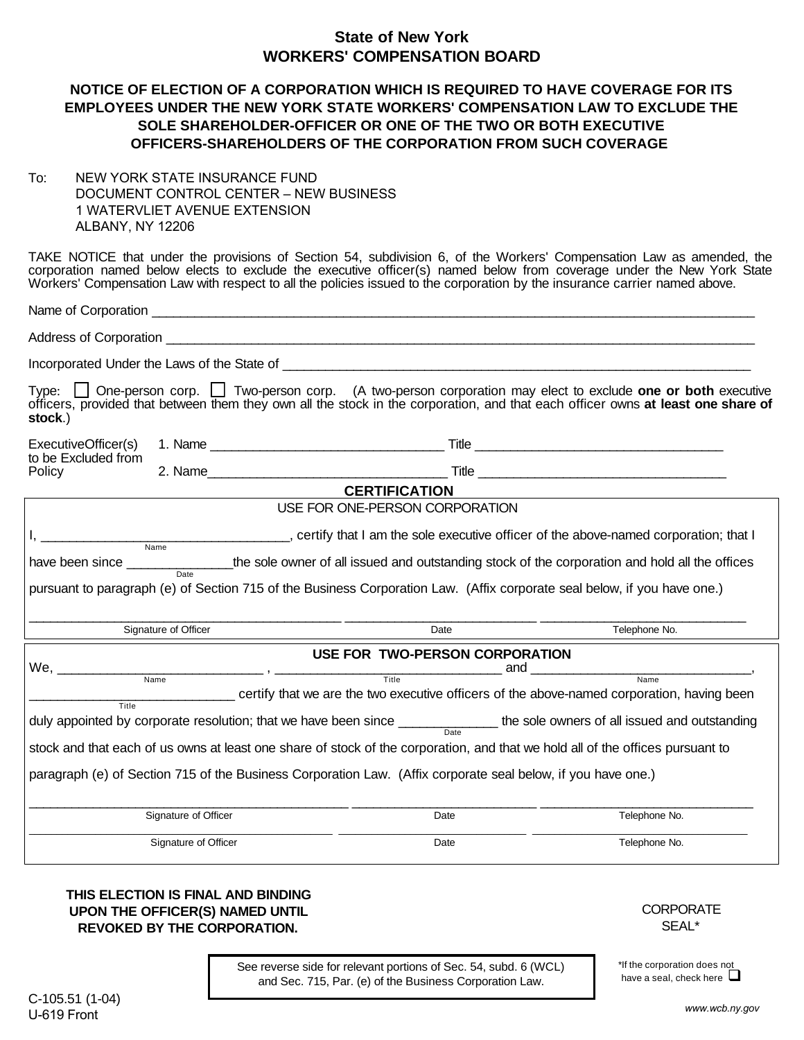## **State of New York WORKERS' COMPENSATION BOARD**

### **NOTICE OF ELECTION OF A CORPORATION WHICH IS REQUIRED TO HAVE COVERAGE FOR ITS EMPLOYEES UNDER THE NEW YORK STATE WORKERS' COMPENSATION LAW TO EXCLUDE THE SOLE SHAREHOLDER-OFFICER OR ONE OF THE TWO OR BOTH EXECUTIVE OFFICERS-SHAREHOLDERS OF THE CORPORATION FROM SUCH COVERAGE**

To: NEW YORK STATE INSURANCE FUND DOCUMENT CONTROL CENTER – NEW BUSINESS 1 WATERVLIET AVENUE EXTENSION ALBANY, NY 12206

TAKE NOTICE that under the provisions of Section 54, subdivision 6, of the Workers' Compensation Law as amended, the corporation named below elects to exclude the executive officer(s) named below from coverage under the New York State Workers' Compensation Law with respect to all the policies issued to the corporation by the insurance carrier named above.

Name of Corporation \_\_\_\_\_\_\_\_\_\_\_\_\_\_\_\_\_\_\_\_\_\_\_\_\_\_\_\_\_\_\_\_\_\_\_\_\_\_\_\_\_\_\_\_\_\_\_\_\_\_\_\_\_\_\_\_\_\_\_\_\_\_\_\_\_\_\_\_\_\_\_\_\_\_\_\_\_\_\_\_\_\_\_\_\_

Address of Corporation \_\_\_\_\_\_\_\_\_\_\_\_\_\_\_\_\_\_\_\_\_\_\_\_\_\_\_\_\_\_\_\_\_\_\_\_\_\_\_\_\_\_\_\_\_\_\_\_\_\_\_\_\_\_\_\_\_\_\_\_\_\_\_\_\_\_\_\_\_\_\_\_\_\_\_\_\_\_\_\_\_\_\_

Incorporated Under the Laws of the State of  $\blacksquare$ 

Type:  $\Box$  One-person corp.  $\Box$  Two-person corp. (A two-person corporation may elect to exclude **one or both** executive officers, provided that between them they own all the stock in the corporation, and that each officer owns **at least one share of stock**.)

| ExecutiveOfficer(s) | Name | Title |
|---------------------|------|-------|
| to be Excluded from |      |       |
| Policy              | Name | Title |

# **CERTIFICATION**

USE FOR ONE-PERSON CORPORATION I, \_\_\_\_\_\_\_\_\_\_\_\_\_\_\_\_\_\_\_\_\_\_\_\_\_\_\_\_\_\_\_\_\_\_\_, certify that I am the sole executive officer of the above-named corporation; that I have been since \_\_\_\_\_\_\_\_\_\_\_\_\_\_\_\_\_the sole owner of all issued and outstanding stock of the corporation and hold all the offices pursuant to paragraph (e) of Section 715 of the Business Corporation Law. (Affix corporate seal below, if you have one.)  $\_$  , and the set of the set of the set of the set of the set of the set of the set of the set of the set of the set of the set of the set of the set of the set of the set of the set of the set of the set of the set of th Signature of Officer **Date** Telephone No. **Date** Telephone No. **Date** Telephone No. **USE FOR TWO-PERSON CORPORATION** We, \_\_\_\_\_\_\_\_\_\_\_\_\_\_\_\_\_\_\_\_\_\_\_\_\_\_\_\_\_ , \_\_\_\_\_\_\_\_\_\_\_\_\_\_\_\_\_\_\_\_\_\_\_\_\_\_\_\_\_\_\_\_ and \_\_\_\_\_\_\_\_\_\_\_\_\_\_\_\_\_\_\_\_\_\_\_\_\_\_\_\_\_\_\_, \_\_\_\_\_\_\_\_\_\_\_\_\_\_\_\_\_\_\_\_\_\_\_\_\_\_\_\_\_ certify that we are the two executive officers of the above-named corporation, having been duly appointed by corporate resolution; that we have been since \_\_\_\_\_\_\_\_\_\_\_\_\_\_\_\_\_ the sole owners of all issued and outstanding stock and that each of us owns at least one share of stock of the corporation, and that we hold all of the offices pursuant to paragraph (e) of Section 715 of the Business Corporation Law. (Affix corporate seal below, if you have one.) \_\_\_\_\_\_\_\_\_\_\_\_\_\_\_\_\_\_\_\_\_\_\_\_\_\_\_\_\_\_\_\_\_\_\_\_\_\_\_\_\_\_\_\_\_ \_\_\_\_\_\_\_\_\_\_\_\_\_\_\_\_\_\_\_\_\_\_\_\_\_\_ \_\_\_\_\_\_\_\_\_\_\_\_\_\_\_\_\_\_\_\_\_\_\_\_\_\_\_\_\_\_ Signature of Officer **Date** Telephone No. **Date Date Date** Telephone No. \_\_\_\_\_\_\_\_\_\_\_\_\_\_\_\_\_\_\_\_\_\_\_\_\_\_\_\_\_\_\_\_\_\_\_\_\_\_\_\_\_\_\_\_\_\_\_\_\_\_\_\_\_\_\_ \_\_\_\_\_\_\_\_\_\_\_\_\_\_\_\_\_\_\_\_\_\_\_\_\_\_\_\_\_\_\_\_\_\_ \_\_\_\_\_\_\_\_\_\_\_\_\_\_\_\_\_\_\_\_\_\_\_\_\_\_\_\_\_\_\_\_\_\_\_\_\_\_\_ Signature of Officer **Date** Date **Date** Date **Date Date Date Date Date Date Date Date Date Date Date Date D** Title<sup>T</sup> Date Date Name Title Name Name

#### **THIS ELECTION IS FINAL AND BINDING UPON THE OFFICER(S) NAMED UNTIL REVOKED BY THE CORPORATION.**

**CORPORATE** SEAL\*

\*If the corporation does not have a seal, check here  $\Box$ 

See reverse side for relevant portions of Sec. 54, subd. 6 (WCL) and Sec. 715, Par. (e) of the Business Corporation Law.

C-105.51 (1-04) U-619 Front

 *www.wcb.ny.gov*